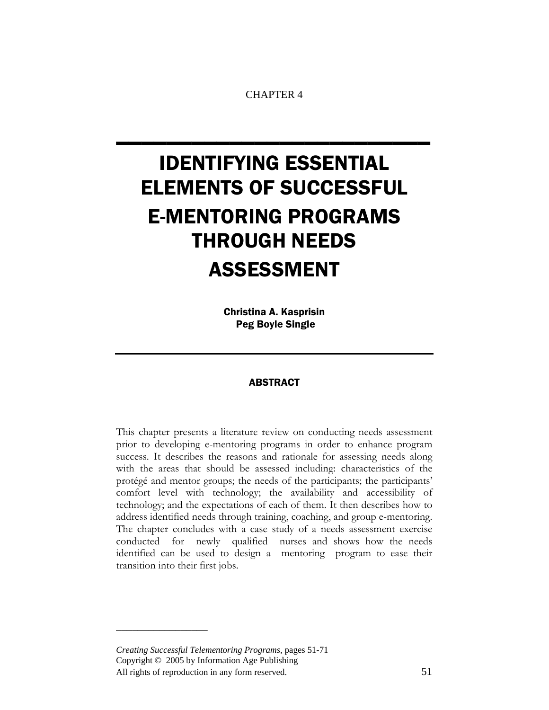CHAPTER 4

\_\_\_\_\_\_\_\_\_\_\_\_\_\_\_\_\_\_\_\_\_\_\_\_\_

# IDENTIFYING ESSENTIAL ELEMENTS OF SUCCESSFUL E-MENTORING PROGRAMS THROUGH NEEDS ASSESSMENT

Christina A. Kasprisin Peg Boyle Single

# ABSTRACT

This chapter presents a literature review on conducting needs assessment prior to developing e-mentoring programs in order to enhance program success. It describes the reasons and rationale for assessing needs along with the areas that should be assessed including: characteristics of the protégé and mentor groups; the needs of the participants; the participants' comfort level with technology; the availability and accessibility of technology; and the expectations of each of them. It then describes how to address identified needs through training, coaching, and group e-mentoring. The chapter concludes with a case study of a needs assessment exercise conducted for newly qualified nurses and shows how the needs identified can be used to design a mentoring program to ease their transition into their first jobs.

*Creating Successful Telementoring Programs,* pages 51-71 Copyright © 2005 by Information Age Publishing All rights of reproduction in any form reserved. 51

\_\_\_\_\_\_\_\_\_\_\_\_\_\_\_\_\_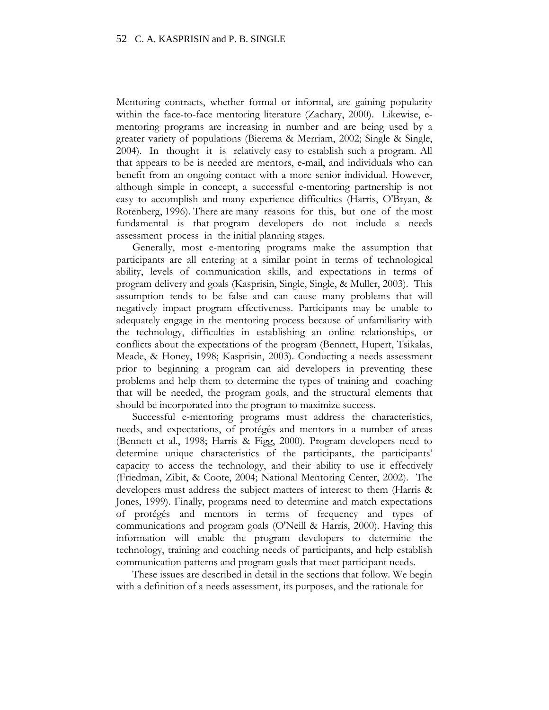Mentoring contracts, whether formal or informal, are gaining popularity within the face-to-face mentoring literature (Zachary, 2000). Likewise, ementoring programs are increasing in number and are being used by a greater variety of populations (Bierema & Merriam, 2002; Single & Single, 2004). In thought it is relatively easy to establish such a program. All that appears to be is needed are mentors, e-mail, and individuals who can benefit from an ongoing contact with a more senior individual. However, although simple in concept, a successful e-mentoring partnership is not easy to accomplish and many experience difficulties (Harris, O'Bryan, & Rotenberg, 1996). There are many reasons for this, but one of the most fundamental is that program developers do not include a needs assessment process in the initial planning stages.

Generally, most e-mentoring programs make the assumption that participants are all entering at a similar point in terms of technological ability, levels of communication skills, and expectations in terms of program delivery and goals (Kasprisin, Single, Single, & Muller, 2003). This assumption tends to be false and can cause many problems that will negatively impact program effectiveness. Participants may be unable to adequately engage in the mentoring process because of unfamiliarity with the technology, difficulties in establishing an online relationships, or conflicts about the expectations of the program (Bennett, Hupert, Tsikalas, Meade, & Honey, 1998; Kasprisin, 2003). Conducting a needs assessment prior to beginning a program can aid developers in preventing these problems and help them to determine the types of training and coaching that will be needed, the program goals, and the structural elements that should be incorporated into the program to maximize success.

Successful e-mentoring programs must address the characteristics, needs, and expectations, of protégés and mentors in a number of areas (Bennett et al., 1998; Harris & Figg, 2000). Program developers need to determine unique characteristics of the participants, the participants' capacity to access the technology, and their ability to use it effectively (Friedman, Zibit, & Coote, 2004; National Mentoring Center, 2002). The developers must address the subject matters of interest to them (Harris & Jones, 1999). Finally, programs need to determine and match expectations of protégés and mentors in terms of frequency and types of communications and program goals (O'Neill & Harris, 2000). Having this information will enable the program developers to determine the technology, training and coaching needs of participants, and help establish communication patterns and program goals that meet participant needs.

These issues are described in detail in the sections that follow. We begin with a definition of a needs assessment, its purposes, and the rationale for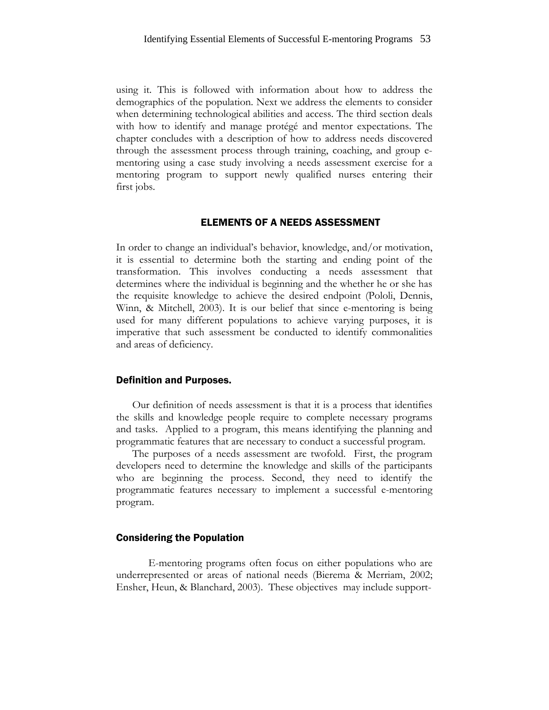using it. This is followed with information about how to address the demographics of the population. Next we address the elements to consider when determining technological abilities and access. The third section deals with how to identify and manage protégé and mentor expectations. The chapter concludes with a description of how to address needs discovered through the assessment process through training, coaching, and group ementoring using a case study involving a needs assessment exercise for a mentoring program to support newly qualified nurses entering their first jobs.

# ELEMENTS OF A NEEDS ASSESSMENT

In order to change an individual's behavior, knowledge, and/or motivation, it is essential to determine both the starting and ending point of the transformation. This involves conducting a needs assessment that determines where the individual is beginning and the whether he or she has the requisite knowledge to achieve the desired endpoint (Pololi, Dennis, Winn, & Mitchell, 2003). It is our belief that since e-mentoring is being used for many different populations to achieve varying purposes, it is imperative that such assessment be conducted to identify commonalities and areas of deficiency.

#### Definition and Purposes.

Our definition of needs assessment is that it is a process that identifies the skills and knowledge people require to complete necessary programs and tasks. Applied to a program, this means identifying the planning and programmatic features that are necessary to conduct a successful program.

The purposes of a needs assessment are twofold. First, the program developers need to determine the knowledge and skills of the participants who are beginning the process. Second, they need to identify the programmatic features necessary to implement a successful e-mentoring program.

#### Considering the Population

E-mentoring programs often focus on either populations who are underrepresented or areas of national needs (Bierema & Merriam, 2002; Ensher, Heun, & Blanchard, 2003). These objectives may include support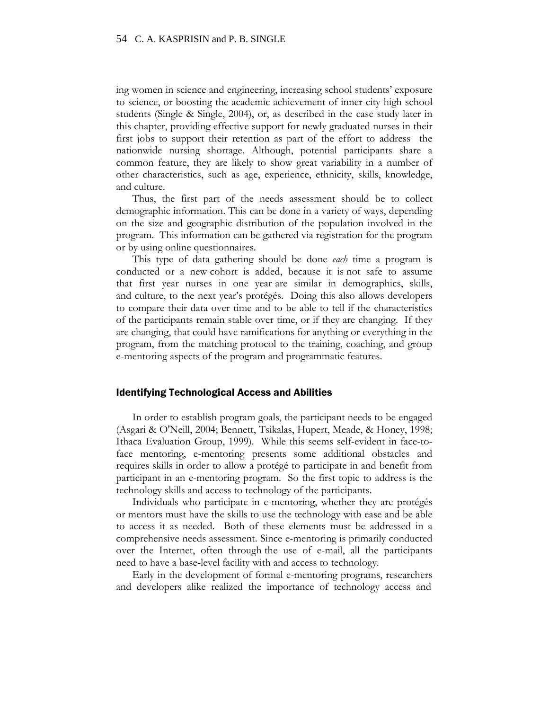ing women in science and engineering, increasing school students' exposure to science, or boosting the academic achievement of inner-city high school students (Single & Single, 2004), or, as described in the case study later in this chapter, providing effective support for newly graduated nurses in their first jobs to support their retention as part of the effort to address the nationwide nursing shortage. Although, potential participants share a common feature, they are likely to show great variability in a number of other characteristics, such as age, experience, ethnicity, skills, knowledge, and culture.

Thus, the first part of the needs assessment should be to collect demographic information. This can be done in a variety of ways, depending on the size and geographic distribution of the population involved in the program. This information can be gathered via registration for the program or by using online questionnaires.

This type of data gathering should be done *each* time a program is conducted or a new cohort is added, because it is not safe to assume that first year nurses in one year are similar in demographics, skills, and culture, to the next year's protégés. Doing this also allows developers to compare their data over time and to be able to tell if the characteristics of the participants remain stable over time, or if they are changing. If they are changing, that could have ramifications for anything or everything in the program, from the matching protocol to the training, coaching, and group e-mentoring aspects of the program and programmatic features.

# Identifying Technological Access and Abilities

In order to establish program goals, the participant needs to be engaged (Asgari & O'Neill, 2004; Bennett, Tsikalas, Hupert, Meade, & Honey, 1998; Ithaca Evaluation Group, 1999). While this seems self-evident in face-toface mentoring, e-mentoring presents some additional obstacles and requires skills in order to allow a protégé to participate in and benefit from participant in an e-mentoring program. So the first topic to address is the technology skills and access to technology of the participants.

Individuals who participate in e-mentoring, whether they are protégés or mentors must have the skills to use the technology with ease and be able to access it as needed. Both of these elements must be addressed in a comprehensive needs assessment. Since e-mentoring is primarily conducted over the Internet, often through the use of e-mail, all the participants need to have a base-level facility with and access to technology.

Early in the development of formal e-mentoring programs, researchers and developers alike realized the importance of technology access and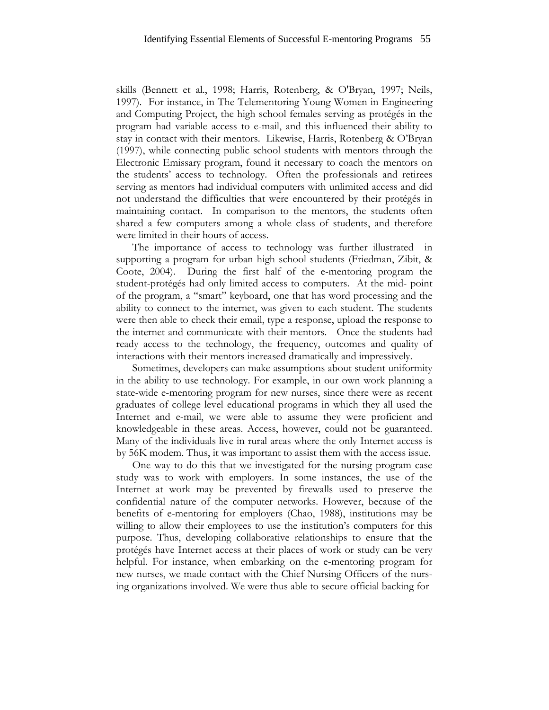skills (Bennett et al., 1998; Harris, Rotenberg, & O'Bryan, 1997; Neils, 1997). For instance, in The Telementoring Young Women in Engineering and Computing Project, the high school females serving as protégés in the program had variable access to e-mail, and this influenced their ability to stay in contact with their mentors. Likewise, Harris, Rotenberg & O'Bryan (1997), while connecting public school students with mentors through the Electronic Emissary program, found it necessary to coach the mentors on the students' access to technology. Often the professionals and retirees serving as mentors had individual computers with unlimited access and did not understand the difficulties that were encountered by their protégés in maintaining contact. In comparison to the mentors, the students often shared a few computers among a whole class of students, and therefore were limited in their hours of access.

The importance of access to technology was further illustrated in supporting a program for urban high school students (Friedman, Zibit, & Coote, 2004). During the first half of the e-mentoring program the student-protégés had only limited access to computers. At the mid- point of the program, a "smart" keyboard, one that has word processing and the ability to connect to the internet, was given to each student. The students were then able to check their email, type a response, upload the response to the internet and communicate with their mentors. Once the students had ready access to the technology, the frequency, outcomes and quality of interactions with their mentors increased dramatically and impressively.

Sometimes, developers can make assumptions about student uniformity in the ability to use technology. For example, in our own work planning a state-wide e-mentoring program for new nurses, since there were as recent graduates of college level educational programs in which they all used the Internet and e-mail, we were able to assume they were proficient and knowledgeable in these areas. Access, however, could not be guaranteed. Many of the individuals live in rural areas where the only Internet access is by 56K modem. Thus, it was important to assist them with the access issue.

One way to do this that we investigated for the nursing program case study was to work with employers. In some instances, the use of the Internet at work may be prevented by firewalls used to preserve the confidential nature of the computer networks. However, because of the benefits of e-mentoring for employers (Chao, 1988), institutions may be willing to allow their employees to use the institution's computers for this purpose. Thus, developing collaborative relationships to ensure that the protégés have Internet access at their places of work or study can be very helpful. For instance, when embarking on the e-mentoring program for new nurses, we made contact with the Chief Nursing Officers of the nursing organizations involved. We were thus able to secure official backing for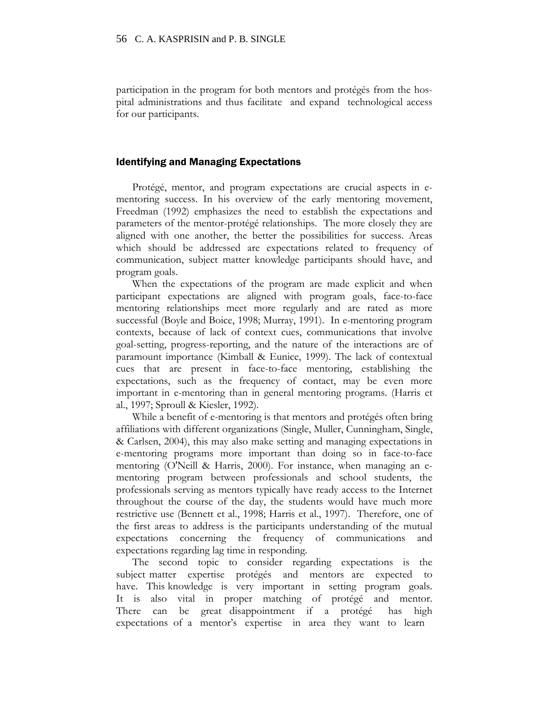participation in the program for both mentors and protégés from the hospital administrations and thus facilitate and expand technological access for our participants.

#### Identifying and Managing Expectations

Protégé, mentor, and program expectations are crucial aspects in ementoring success. In his overview of the early mentoring movement, Freedman (1992) emphasizes the need to establish the expectations and parameters of the mentor-protégé relationships. The more closely they are aligned with one another, the better the possibilities for success. Areas which should be addressed are expectations related to frequency of communication, subject matter knowledge participants should have, and program goals.

When the expectations of the program are made explicit and when participant expectations are aligned with program goals, face-to-face mentoring relationships meet more regularly and are rated as more successful (Boyle and Boice, 1998; Murray, 1991). In e-mentoring program contexts, because of lack of context cues, communications that involve goal-setting, progress-reporting, and the nature of the interactions are of paramount importance (Kimball & Eunice, 1999). The lack of contextual cues that are present in face-to-face mentoring, establishing the expectations, such as the frequency of contact, may be even more important in e-mentoring than in general mentoring programs. (Harris et al., 1997; Sproull & Kiesler, 1992).

While a benefit of e-mentoring is that mentors and protégés often bring affiliations with different organizations (Single, Muller, Cunningham, Single, & Carlsen, 2004), this may also make setting and managing expectations in e-mentoring programs more important than doing so in face-to-face mentoring (O'Neill & Harris, 2000). For instance, when managing an ementoring program between professionals and school students, the professionals serving as mentors typically have ready access to the Internet throughout the course of the day, the students would have much more restrictive use (Bennett et al., 1998; Harris et al., 1997). Therefore, one of the first areas to address is the participants understanding of the mutual expectations concerning the frequency of communications and expectations regarding lag time in responding.

The second topic to consider regarding expectations is the subject matter expertise protégés and mentors are expected to have. This knowledge is very important in setting program goals. It is also vital in proper matching of protégé and mentor. There can be great disappointment if a protégé has high expectations of a mentor's expertise in area they want to learn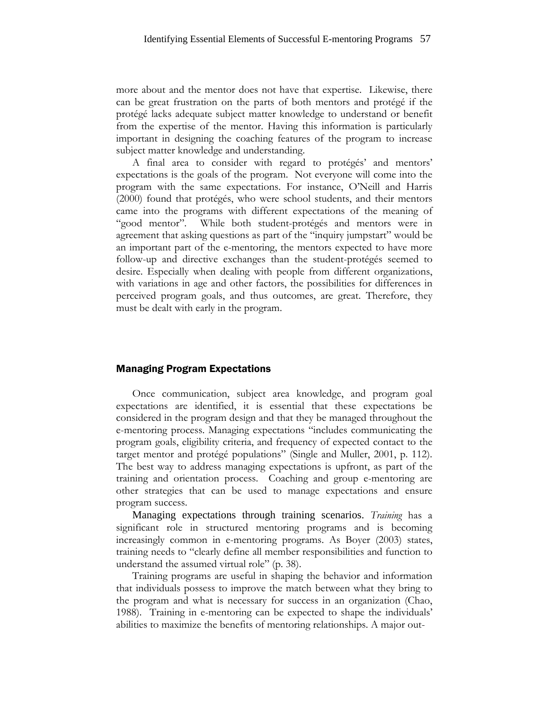more about and the mentor does not have that expertise. Likewise, there can be great frustration on the parts of both mentors and protégé if the protégé lacks adequate subject matter knowledge to understand or benefit from the expertise of the mentor. Having this information is particularly important in designing the coaching features of the program to increase subject matter knowledge and understanding.

A final area to consider with regard to protégés' and mentors' expectations is the goals of the program. Not everyone will come into the program with the same expectations. For instance, O'Neill and Harris (2000) found that protégés, who were school students, and their mentors came into the programs with different expectations of the meaning of "good mentor". While both student-protégés and mentors were in agreement that asking questions as part of the "inquiry jumpstart" would be an important part of the e-mentoring, the mentors expected to have more follow-up and directive exchanges than the student-protégés seemed to desire. Especially when dealing with people from different organizations, with variations in age and other factors, the possibilities for differences in perceived program goals, and thus outcomes, are great. Therefore, they must be dealt with early in the program.

# Managing Program Expectations

Once communication, subject area knowledge, and program goal expectations are identified, it is essential that these expectations be considered in the program design and that they be managed throughout the e-mentoring process. Managing expectations "includes communicating the program goals, eligibility criteria, and frequency of expected contact to the target mentor and protégé populations" (Single and Muller, 2001, p. 112). The best way to address managing expectations is upfront, as part of the training and orientation process. Coaching and group e-mentoring are other strategies that can be used to manage expectations and ensure program success.

Managing expectations through training scenarios. *Training* has a significant role in structured mentoring programs and is becoming increasingly common in e-mentoring programs. As Boyer (2003) states, training needs to "clearly define all member responsibilities and function to understand the assumed virtual role" (p. 38).

Training programs are useful in shaping the behavior and information that individuals possess to improve the match between what they bring to the program and what is necessary for success in an organization (Chao, 1988). Training in e-mentoring can be expected to shape the individuals' abilities to maximize the benefits of mentoring relationships. A major out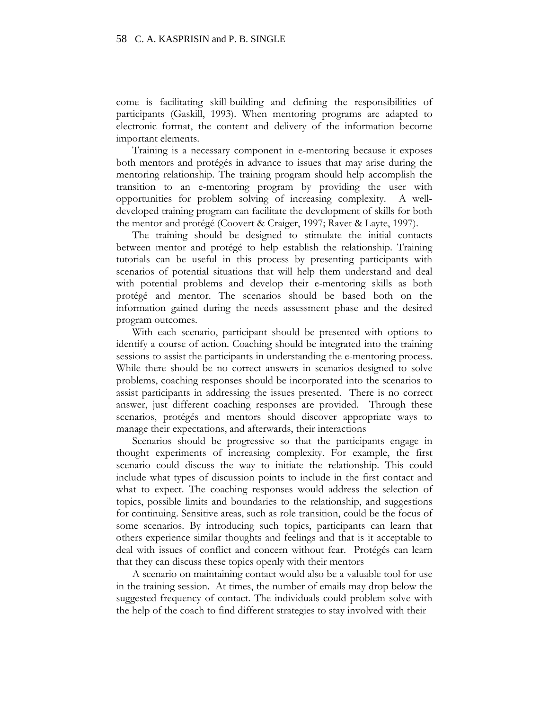come is facilitating skill-building and defining the responsibilities of participants (Gaskill, 1993). When mentoring programs are adapted to electronic format, the content and delivery of the information become important elements.

Training is a necessary component in e-mentoring because it exposes both mentors and protégés in advance to issues that may arise during the mentoring relationship. The training program should help accomplish the transition to an e-mentoring program by providing the user with opportunities for problem solving of increasing complexity. A welldeveloped training program can facilitate the development of skills for both the mentor and protégé (Coovert & Craiger, 1997; Ravet & Layte, 1997).

The training should be designed to stimulate the initial contacts between mentor and protégé to help establish the relationship. Training tutorials can be useful in this process by presenting participants with scenarios of potential situations that will help them understand and deal with potential problems and develop their e-mentoring skills as both protégé and mentor. The scenarios should be based both on the information gained during the needs assessment phase and the desired program outcomes.

With each scenario, participant should be presented with options to identify a course of action. Coaching should be integrated into the training sessions to assist the participants in understanding the e-mentoring process. While there should be no correct answers in scenarios designed to solve problems, coaching responses should be incorporated into the scenarios to assist participants in addressing the issues presented. There is no correct answer, just different coaching responses are provided. Through these scenarios, protégés and mentors should discover appropriate ways to manage their expectations, and afterwards, their interactions

Scenarios should be progressive so that the participants engage in thought experiments of increasing complexity. For example, the first scenario could discuss the way to initiate the relationship. This could include what types of discussion points to include in the first contact and what to expect. The coaching responses would address the selection of topics, possible limits and boundaries to the relationship, and suggestions for continuing. Sensitive areas, such as role transition, could be the focus of some scenarios. By introducing such topics, participants can learn that others experience similar thoughts and feelings and that is it acceptable to deal with issues of conflict and concern without fear. Protégés can learn that they can discuss these topics openly with their mentors

A scenario on maintaining contact would also be a valuable tool for use in the training session. At times, the number of emails may drop below the suggested frequency of contact. The individuals could problem solve with the help of the coach to find different strategies to stay involved with their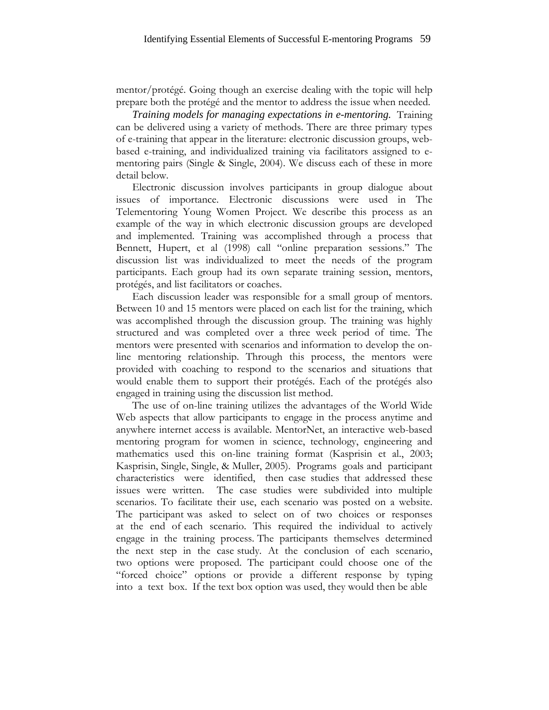mentor/protégé. Going though an exercise dealing with the topic will help prepare both the protégé and the mentor to address the issue when needed.

*Training models for managing expectations in e-mentoring.* Training can be delivered using a variety of methods. There are three primary types of e-training that appear in the literature: electronic discussion groups, webbased e-training, and individualized training via facilitators assigned to ementoring pairs (Single & Single, 2004). We discuss each of these in more detail below.

Electronic discussion involves participants in group dialogue about issues of importance. Electronic discussions were used in The Telementoring Young Women Project. We describe this process as an example of the way in which electronic discussion groups are developed and implemented. Training was accomplished through a process that Bennett, Hupert, et al (1998) call "online preparation sessions." The discussion list was individualized to meet the needs of the program participants. Each group had its own separate training session, mentors, protégés, and list facilitators or coaches.

Each discussion leader was responsible for a small group of mentors. Between 10 and 15 mentors were placed on each list for the training, which was accomplished through the discussion group. The training was highly structured and was completed over a three week period of time. The mentors were presented with scenarios and information to develop the online mentoring relationship. Through this process, the mentors were provided with coaching to respond to the scenarios and situations that would enable them to support their protégés. Each of the protégés also engaged in training using the discussion list method.

The use of on-line training utilizes the advantages of the World Wide Web aspects that allow participants to engage in the process anytime and anywhere internet access is available. MentorNet, an interactive web-based mentoring program for women in science, technology, engineering and mathematics used this on-line training format (Kasprisin et al., 2003; Kasprisin, Single, Single, & Muller, 2005). Programs goals and participant characteristics were identified, then case studies that addressed these issues were written. The case studies were subdivided into multiple scenarios. To facilitate their use, each scenario was posted on a website. The participant was asked to select on of two choices or responses at the end of each scenario. This required the individual to actively engage in the training process. The participants themselves determined the next step in the case study. At the conclusion of each scenario, two options were proposed. The participant could choose one of the "forced choice" options or provide a different response by typing into a text box. If the text box option was used, they would then be able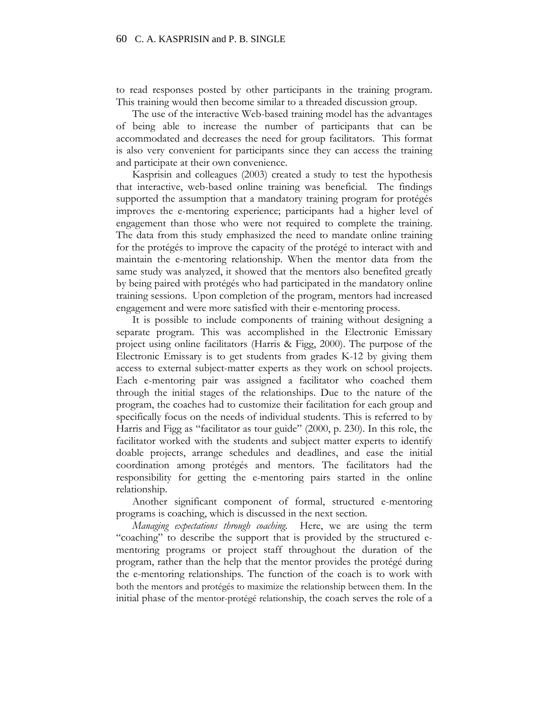to read responses posted by other participants in the training program. This training would then become similar to a threaded discussion group.

The use of the interactive Web-based training model has the advantages of being able to increase the number of participants that can be accommodated and decreases the need for group facilitators. This format is also very convenient for participants since they can access the training and participate at their own convenience.

Kasprisin and colleagues (2003) created a study to test the hypothesis that interactive, web-based online training was beneficial. The findings supported the assumption that a mandatory training program for protégés improves the e-mentoring experience; participants had a higher level of engagement than those who were not required to complete the training. The data from this study emphasized the need to mandate online training for the protégés to improve the capacity of the protégé to interact with and maintain the e-mentoring relationship. When the mentor data from the same study was analyzed, it showed that the mentors also benefited greatly by being paired with protégés who had participated in the mandatory online training sessions. Upon completion of the program, mentors had increased engagement and were more satisfied with their e-mentoring process.

It is possible to include components of training without designing a separate program. This was accomplished in the Electronic Emissary project using online facilitators (Harris & Figg, 2000). The purpose of the Electronic Emissary is to get students from grades K-12 by giving them access to external subject-matter experts as they work on school projects. Each e-mentoring pair was assigned a facilitator who coached them through the initial stages of the relationships. Due to the nature of the program, the coaches had to customize their facilitation for each group and specifically focus on the needs of individual students. This is referred to by Harris and Figg as "facilitator as tour guide" (2000, p. 230). In this role, the facilitator worked with the students and subject matter experts to identify doable projects, arrange schedules and deadlines, and ease the initial coordination among protégés and mentors. The facilitators had the responsibility for getting the e-mentoring pairs started in the online relationship.

Another significant component of formal, structured e-mentoring programs is coaching, which is discussed in the next section.

*Managing expectations through coaching.* Here, we are using the term "coaching" to describe the support that is provided by the structured ementoring programs or project staff throughout the duration of the program, rather than the help that the mentor provides the protégé during the e-mentoring relationships. The function of the coach is to work with both the mentors and protégés to maximize the relationship between them. In the initial phase of the mentor-protégé relationship, the coach serves the role of a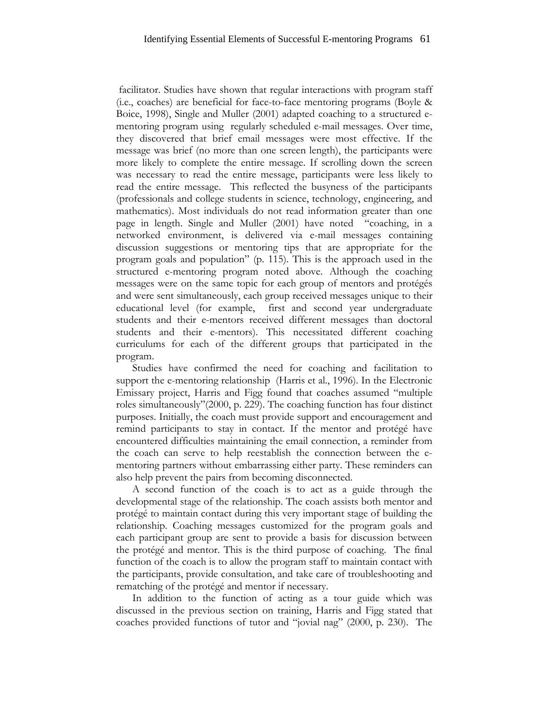facilitator. Studies have shown that regular interactions with program staff (i.e., coaches) are beneficial for face-to-face mentoring programs (Boyle & Boice, 1998), Single and Muller (2001) adapted coaching to a structured ementoring program using regularly scheduled e-mail messages. Over time, they discovered that brief email messages were most effective. If the message was brief (no more than one screen length), the participants were more likely to complete the entire message. If scrolling down the screen was necessary to read the entire message, participants were less likely to read the entire message. This reflected the busyness of the participants (professionals and college students in science, technology, engineering, and mathematics). Most individuals do not read information greater than one page in length. Single and Muller (2001) have noted "coaching, in a networked environment, is delivered via e-mail messages containing discussion suggestions or mentoring tips that are appropriate for the program goals and population" (p. 115). This is the approach used in the structured e-mentoring program noted above. Although the coaching messages were on the same topic for each group of mentors and protégés and were sent simultaneously, each group received messages unique to their educational level (for example, first and second year undergraduate students and their e-mentors received different messages than doctoral students and their e-mentors). This necessitated different coaching curriculums for each of the different groups that participated in the program.

Studies have confirmed the need for coaching and facilitation to support the e-mentoring relationship (Harris et al., 1996). In the Electronic Emissary project, Harris and Figg found that coaches assumed "multiple roles simultaneously"(2000, p. 229). The coaching function has four distinct purposes. Initially, the coach must provide support and encouragement and remind participants to stay in contact. If the mentor and protégé have encountered difficulties maintaining the email connection, a reminder from the coach can serve to help reestablish the connection between the ementoring partners without embarrassing either party. These reminders can also help prevent the pairs from becoming disconnected.

A second function of the coach is to act as a guide through the developmental stage of the relationship. The coach assists both mentor and protégé to maintain contact during this very important stage of building the relationship. Coaching messages customized for the program goals and each participant group are sent to provide a basis for discussion between the protégé and mentor. This is the third purpose of coaching. The final function of the coach is to allow the program staff to maintain contact with the participants, provide consultation, and take care of troubleshooting and rematching of the protégé and mentor if necessary.

In addition to the function of acting as a tour guide which was discussed in the previous section on training, Harris and Figg stated that coaches provided functions of tutor and "jovial nag" (2000, p. 230). The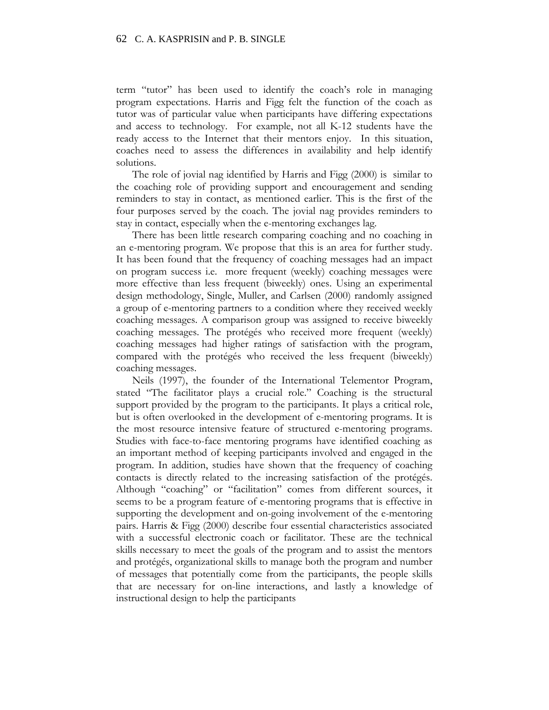term "tutor" has been used to identify the coach's role in managing program expectations. Harris and Figg felt the function of the coach as tutor was of particular value when participants have differing expectations and access to technology. For example, not all K-12 students have the ready access to the Internet that their mentors enjoy. In this situation, coaches need to assess the differences in availability and help identify solutions.

The role of jovial nag identified by Harris and Figg (2000) is similar to the coaching role of providing support and encouragement and sending reminders to stay in contact, as mentioned earlier. This is the first of the four purposes served by the coach. The jovial nag provides reminders to stay in contact, especially when the e-mentoring exchanges lag.

There has been little research comparing coaching and no coaching in an e-mentoring program. We propose that this is an area for further study. It has been found that the frequency of coaching messages had an impact on program success i.e. more frequent (weekly) coaching messages were more effective than less frequent (biweekly) ones. Using an experimental design methodology, Single, Muller, and Carlsen (2000) randomly assigned a group of e-mentoring partners to a condition where they received weekly coaching messages. A comparison group was assigned to receive biweekly coaching messages. The protégés who received more frequent (weekly) coaching messages had higher ratings of satisfaction with the program, compared with the protégés who received the less frequent (biweekly) coaching messages.

Neils (1997), the founder of the International Telementor Program, stated "The facilitator plays a crucial role." Coaching is the structural support provided by the program to the participants. It plays a critical role, but is often overlooked in the development of e-mentoring programs. It is the most resource intensive feature of structured e-mentoring programs. Studies with face-to-face mentoring programs have identified coaching as an important method of keeping participants involved and engaged in the program. In addition, studies have shown that the frequency of coaching contacts is directly related to the increasing satisfaction of the protégés. Although "coaching" or "facilitation" comes from different sources, it seems to be a program feature of e-mentoring programs that is effective in supporting the development and on-going involvement of the e-mentoring pairs. Harris & Figg (2000) describe four essential characteristics associated with a successful electronic coach or facilitator. These are the technical skills necessary to meet the goals of the program and to assist the mentors and protégés, organizational skills to manage both the program and number of messages that potentially come from the participants, the people skills that are necessary for on-line interactions, and lastly a knowledge of instructional design to help the participants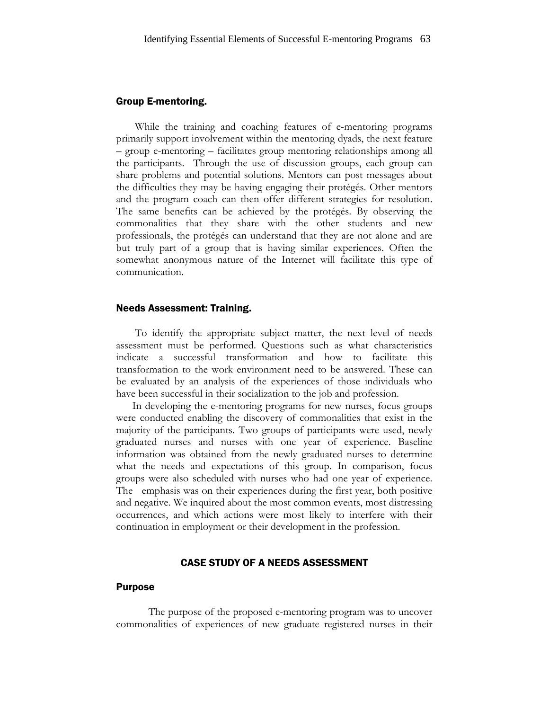## Group E-mentoring.

While the training and coaching features of e-mentoring programs primarily support involvement within the mentoring dyads, the next feature – group e-mentoring – facilitates group mentoring relationships among all the participants. Through the use of discussion groups, each group can share problems and potential solutions. Mentors can post messages about the difficulties they may be having engaging their protégés. Other mentors and the program coach can then offer different strategies for resolution. The same benefits can be achieved by the protégés. By observing the commonalities that they share with the other students and new professionals, the protégés can understand that they are not alone and are but truly part of a group that is having similar experiences. Often the somewhat anonymous nature of the Internet will facilitate this type of communication.

## Needs Assessment: Training.

To identify the appropriate subject matter, the next level of needs assessment must be performed. Questions such as what characteristics indicate a successful transformation and how to facilitate this transformation to the work environment need to be answered. These can be evaluated by an analysis of the experiences of those individuals who have been successful in their socialization to the job and profession.

In developing the e-mentoring programs for new nurses, focus groups were conducted enabling the discovery of commonalities that exist in the majority of the participants. Two groups of participants were used, newly graduated nurses and nurses with one year of experience. Baseline information was obtained from the newly graduated nurses to determine what the needs and expectations of this group. In comparison, focus groups were also scheduled with nurses who had one year of experience. The emphasis was on their experiences during the first year, both positive and negative. We inquired about the most common events, most distressing occurrences, and which actions were most likely to interfere with their continuation in employment or their development in the profession.

# CASE STUDY OF A NEEDS ASSESSMENT

#### Purpose

The purpose of the proposed e-mentoring program was to uncover commonalities of experiences of new graduate registered nurses in their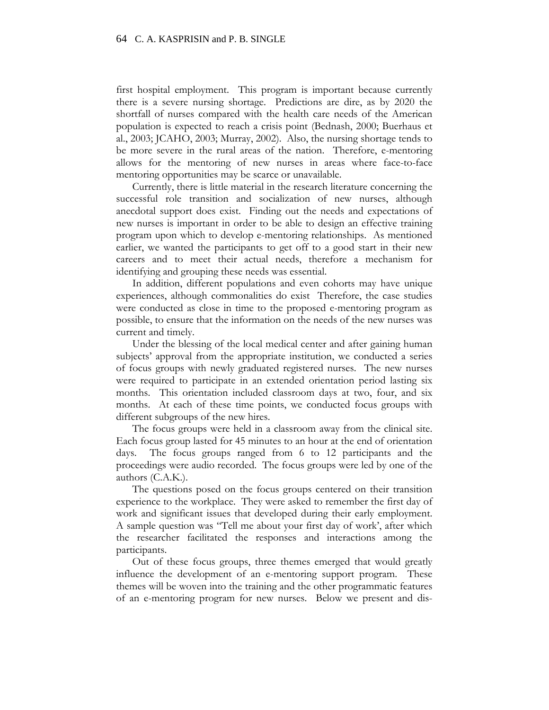first hospital employment. This program is important because currently there is a severe nursing shortage. Predictions are dire, as by 2020 the shortfall of nurses compared with the health care needs of the American population is expected to reach a crisis point (Bednash, 2000; Buerhaus et al., 2003; JCAHO, 2003; Murray, 2002). Also, the nursing shortage tends to be more severe in the rural areas of the nation. Therefore, e-mentoring allows for the mentoring of new nurses in areas where face-to-face mentoring opportunities may be scarce or unavailable.

Currently, there is little material in the research literature concerning the successful role transition and socialization of new nurses, although anecdotal support does exist. Finding out the needs and expectations of new nurses is important in order to be able to design an effective training program upon which to develop e-mentoring relationships. As mentioned earlier, we wanted the participants to get off to a good start in their new careers and to meet their actual needs, therefore a mechanism for identifying and grouping these needs was essential.

In addition, different populations and even cohorts may have unique experiences, although commonalities do exist Therefore, the case studies were conducted as close in time to the proposed e-mentoring program as possible, to ensure that the information on the needs of the new nurses was current and timely.

Under the blessing of the local medical center and after gaining human subjects' approval from the appropriate institution, we conducted a series of focus groups with newly graduated registered nurses. The new nurses were required to participate in an extended orientation period lasting six months. This orientation included classroom days at two, four, and six months. At each of these time points, we conducted focus groups with different subgroups of the new hires.

The focus groups were held in a classroom away from the clinical site. Each focus group lasted for 45 minutes to an hour at the end of orientation days. The focus groups ranged from 6 to 12 participants and the proceedings were audio recorded. The focus groups were led by one of the authors (C.A.K.).

The questions posed on the focus groups centered on their transition experience to the workplace. They were asked to remember the first day of work and significant issues that developed during their early employment. A sample question was "Tell me about your first day of work', after which the researcher facilitated the responses and interactions among the participants.

Out of these focus groups, three themes emerged that would greatly influence the development of an e-mentoring support program. These themes will be woven into the training and the other programmatic features of an e-mentoring program for new nurses. Below we present and dis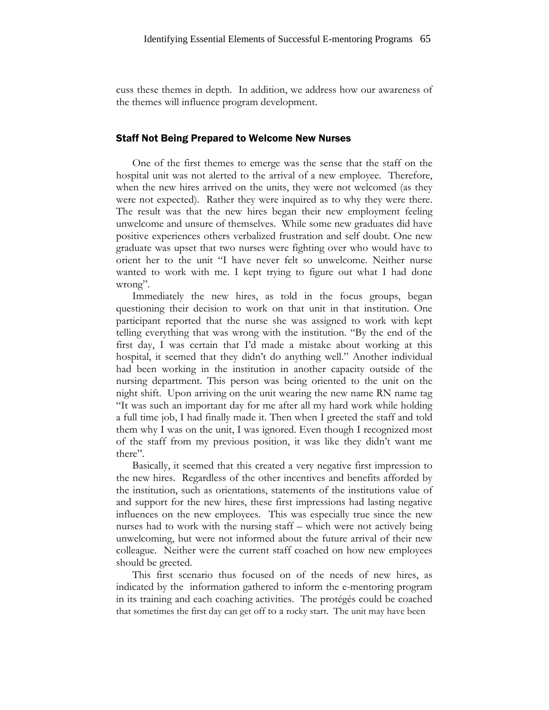cuss these themes in depth. In addition, we address how our awareness of the themes will influence program development.

#### Staff Not Being Prepared to Welcome New Nurses

One of the first themes to emerge was the sense that the staff on the hospital unit was not alerted to the arrival of a new employee. Therefore, when the new hires arrived on the units, they were not welcomed (as they were not expected). Rather they were inquired as to why they were there. The result was that the new hires began their new employment feeling unwelcome and unsure of themselves. While some new graduates did have positive experiences others verbalized frustration and self doubt. One new graduate was upset that two nurses were fighting over who would have to orient her to the unit "I have never felt so unwelcome. Neither nurse wanted to work with me. I kept trying to figure out what I had done wrong".

Immediately the new hires, as told in the focus groups, began questioning their decision to work on that unit in that institution. One participant reported that the nurse she was assigned to work with kept telling everything that was wrong with the institution. "By the end of the first day, I was certain that I'd made a mistake about working at this hospital, it seemed that they didn't do anything well." Another individual had been working in the institution in another capacity outside of the nursing department. This person was being oriented to the unit on the night shift. Upon arriving on the unit wearing the new name RN name tag "It was such an important day for me after all my hard work while holding a full time job, I had finally made it. Then when I greeted the staff and told them why I was on the unit, I was ignored. Even though I recognized most of the staff from my previous position, it was like they didn't want me there".

Basically, it seemed that this created a very negative first impression to the new hires. Regardless of the other incentives and benefits afforded by the institution, such as orientations, statements of the institutions value of and support for the new hires, these first impressions had lasting negative influences on the new employees. This was especially true since the new nurses had to work with the nursing staff – which were not actively being unwelcoming, but were not informed about the future arrival of their new colleague. Neither were the current staff coached on how new employees should be greeted.

This first scenario thus focused on of the needs of new hires, as indicated by the information gathered to inform the e-mentoring program in its training and each coaching activities. The protégés could be coached that sometimes the first day can get off to a rocky start. The unit may have been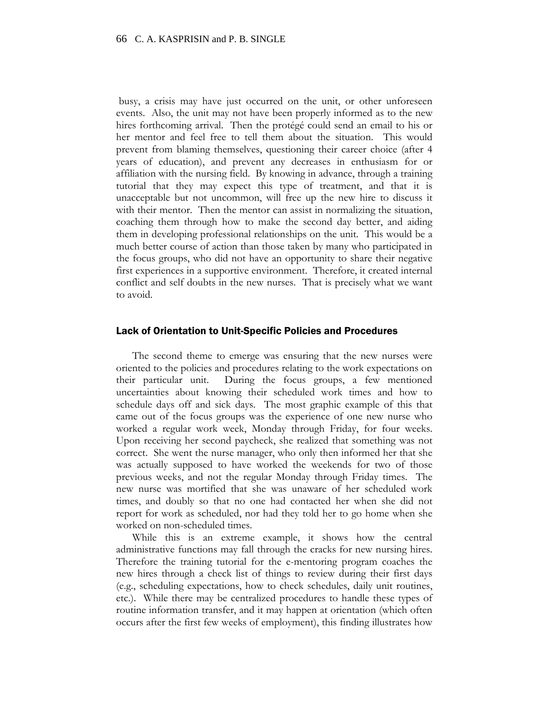busy, a crisis may have just occurred on the unit, or other unforeseen events. Also, the unit may not have been properly informed as to the new hires forthcoming arrival. Then the protégé could send an email to his or her mentor and feel free to tell them about the situation. This would prevent from blaming themselves, questioning their career choice (after 4 years of education), and prevent any decreases in enthusiasm for or affiliation with the nursing field. By knowing in advance, through a training tutorial that they may expect this type of treatment, and that it is unacceptable but not uncommon, will free up the new hire to discuss it with their mentor. Then the mentor can assist in normalizing the situation, coaching them through how to make the second day better, and aiding them in developing professional relationships on the unit. This would be a much better course of action than those taken by many who participated in the focus groups, who did not have an opportunity to share their negative first experiences in a supportive environment. Therefore, it created internal conflict and self doubts in the new nurses. That is precisely what we want to avoid.

#### Lack of Orientation to Unit-Specific Policies and Procedures

The second theme to emerge was ensuring that the new nurses were oriented to the policies and procedures relating to the work expectations on their particular unit. During the focus groups, a few mentioned uncertainties about knowing their scheduled work times and how to schedule days off and sick days. The most graphic example of this that came out of the focus groups was the experience of one new nurse who worked a regular work week, Monday through Friday, for four weeks. Upon receiving her second paycheck, she realized that something was not correct. She went the nurse manager, who only then informed her that she was actually supposed to have worked the weekends for two of those previous weeks, and not the regular Monday through Friday times. The new nurse was mortified that she was unaware of her scheduled work times, and doubly so that no one had contacted her when she did not report for work as scheduled, nor had they told her to go home when she worked on non-scheduled times.

While this is an extreme example, it shows how the central administrative functions may fall through the cracks for new nursing hires. Therefore the training tutorial for the e-mentoring program coaches the new hires through a check list of things to review during their first days (e.g., scheduling expectations, how to check schedules, daily unit routines, etc.). While there may be centralized procedures to handle these types of routine information transfer, and it may happen at orientation (which often occurs after the first few weeks of employment), this finding illustrates how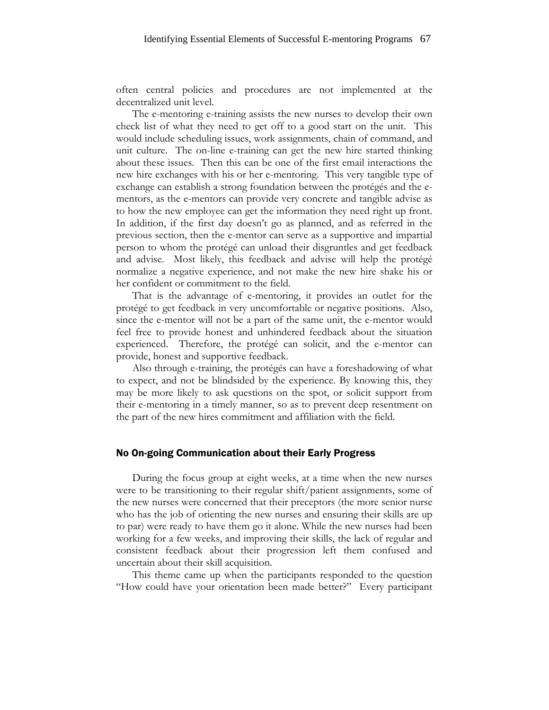often central policies and procedures are not implemented at the decentralized unit level.

The e-mentoring e-training assists the new nurses to develop their own check list of what they need to get off to a good start on the unit. This would include scheduling issues, work assignments, chain of command, and unit culture. The on-line e-training can get the new hire started thinking about these issues. Then this can be one of the first email interactions the new hire exchanges with his or her e-mentoring. This very tangible type of exchange can establish a strong foundation between the protégés and the ementors, as the e-mentors can provide very concrete and tangible advise as to how the new employee can get the information they need right up front. In addition, if the first day doesn't go as planned, and as referred in the previous section, then the e-mentor can serve as a supportive and impartial person to whom the protégé can unload their disgruntles and get feedback and advise. Most likely, this feedback and advise will help the protégé normalize a negative experience, and not make the new hire shake his or her confident or commitment to the field.

That is the advantage of e-mentoring, it provides an outlet for the protégé to get feedback in very uncomfortable or negative positions. Also, since the e-mentor will not be a part of the same unit, the e-mentor would feel free to provide honest and unhindered feedback about the situation experienced. Therefore, the protégé can solicit, and the e-mentor can provide, honest and supportive feedback.

Also through e-training, the protégés can have a foreshadowing of what to expect, and not be blindsided by the experience. By knowing this, they may be more likely to ask questions on the spot, or solicit support from their e-mentoring in a timely manner, so as to prevent deep resentment on the part of the new hires commitment and affiliation with the field.

#### No On-going Communication about their Early Progress

During the focus group at eight weeks, at a time when the new nurses were to be transitioning to their regular shift/patient assignments, some of the new nurses were concerned that their preceptors (the more senior nurse who has the job of orienting the new nurses and ensuring their skills are up to par) were ready to have them go it alone. While the new nurses had been working for a few weeks, and improving their skills, the lack of regular and consistent feedback about their progression left them confused and uncertain about their skill acquisition.

This theme came up when the participants responded to the question "How could have your orientation been made better?" Every participant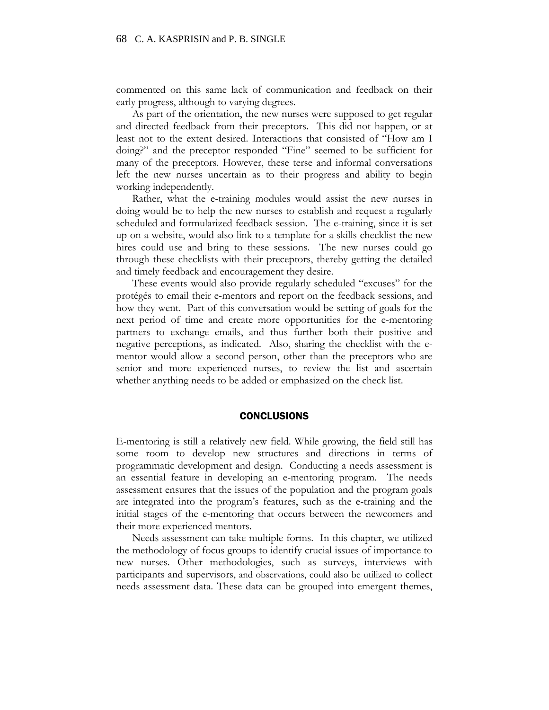commented on this same lack of communication and feedback on their early progress, although to varying degrees.

As part of the orientation, the new nurses were supposed to get regular and directed feedback from their preceptors. This did not happen, or at least not to the extent desired. Interactions that consisted of "How am I doing?" and the preceptor responded "Fine" seemed to be sufficient for many of the preceptors. However, these terse and informal conversations left the new nurses uncertain as to their progress and ability to begin working independently.

Rather, what the e-training modules would assist the new nurses in doing would be to help the new nurses to establish and request a regularly scheduled and formularized feedback session. The e-training, since it is set up on a website, would also link to a template for a skills checklist the new hires could use and bring to these sessions. The new nurses could go through these checklists with their preceptors, thereby getting the detailed and timely feedback and encouragement they desire.

These events would also provide regularly scheduled "excuses" for the protégés to email their e-mentors and report on the feedback sessions, and how they went. Part of this conversation would be setting of goals for the next period of time and create more opportunities for the e-mentoring partners to exchange emails, and thus further both their positive and negative perceptions, as indicated. Also, sharing the checklist with the ementor would allow a second person, other than the preceptors who are senior and more experienced nurses, to review the list and ascertain whether anything needs to be added or emphasized on the check list.

#### **CONCLUSIONS**

E-mentoring is still a relatively new field. While growing, the field still has some room to develop new structures and directions in terms of programmatic development and design. Conducting a needs assessment is an essential feature in developing an e-mentoring program. The needs assessment ensures that the issues of the population and the program goals are integrated into the program's features, such as the e-training and the initial stages of the e-mentoring that occurs between the newcomers and their more experienced mentors.

Needs assessment can take multiple forms. In this chapter, we utilized the methodology of focus groups to identify crucial issues of importance to new nurses. Other methodologies, such as surveys, interviews with participants and supervisors, and observations, could also be utilized to collect needs assessment data. These data can be grouped into emergent themes,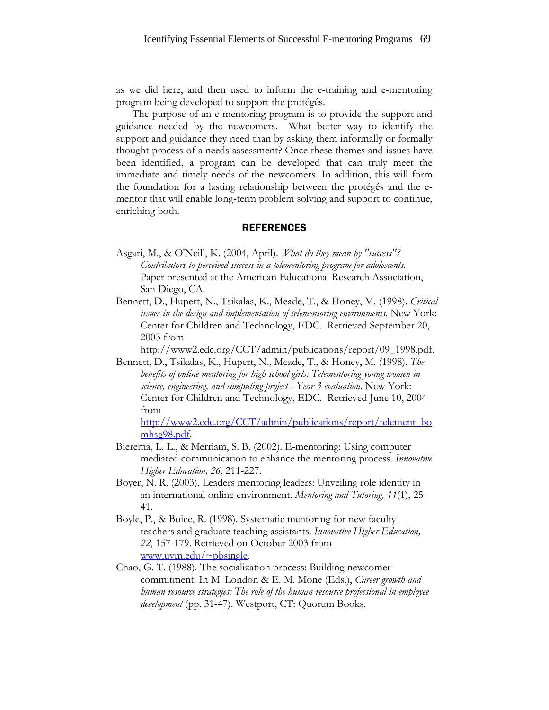as we did here, and then used to inform the e-training and e-mentoring program being developed to support the protégés.

The purpose of an e-mentoring program is to provide the support and guidance needed by the newcomers. What better way to identify the support and guidance they need than by asking them informally or formally thought process of a needs assessment? Once these themes and issues have been identified, a program can be developed that can truly meet the immediate and timely needs of the newcomers. In addition, this will form the foundation for a lasting relationship between the protégés and the ementor that will enable long-term problem solving and support to continue, enriching both.

# **REFERENCES**

- Asgari, M., & O'Neill, K. (2004, April). *What do they mean by "success"? Contributors to perceived success in a telementoring program for adolescents.* Paper presented at the American Educational Research Association, San Diego, CA.
- Bennett, D., Hupert, N., Tsikalas, K., Meade, T., & Honey, M. (1998). *Critical issues in the design and implementation of telementoring environments*. New York: Center for Children and Technology, EDC. Retrieved September 20, 2003 from

http://www2.edc.org/CCT/admin/publications/report/09\_1998.pdf.

Bennett, D., Tsikalas, K., Hupert, N., Meade, T., & Honey, M. (1998). *The benefits of online mentoring for high school girls: Telementoring young women in science, engineering, and computing project - Year 3 evaluation*. New York: Center for Children and Technology, EDC. Retrieved June 10, 2004 from

[http://www2.edc.org/CCT/admin/publications/report/telement\\_bo](http://www2.edc.org/CCT/admin/publications/report/telement_bomhsg98.pdf) [mhsg98.pdf.](http://www2.edc.org/CCT/admin/publications/report/telement_bomhsg98.pdf)

- Bierema, L. L., & Merriam, S. B. (2002). E-mentoring: Using computer mediated communication to enhance the mentoring process. *Innovative Higher Education, 26*, 211-227.
- Boyer, N. R. (2003). Leaders mentoring leaders: Unveiling role identity in an international online environment. *Mentoring and Tutoring, 11*(1), 25- 41.
- Boyle, P., & Boice, R. (1998). Systematic mentoring for new faculty teachers and graduate teaching assistants. *Innovative Higher Education, 22*, 157-179. Retrieved on October 2003 from [www.uvm.edu/~pbsingle](http://www.uvm.edu/~pbsingle).
- Chao, G. T. (1988). The socialization process: Building newcomer commitment. In M. London & E. M. Mone (Eds.), *Career growth and human resource strategies: The role of the human resource professional in employee development* (pp. 31-47). Westport, CT: Quorum Books.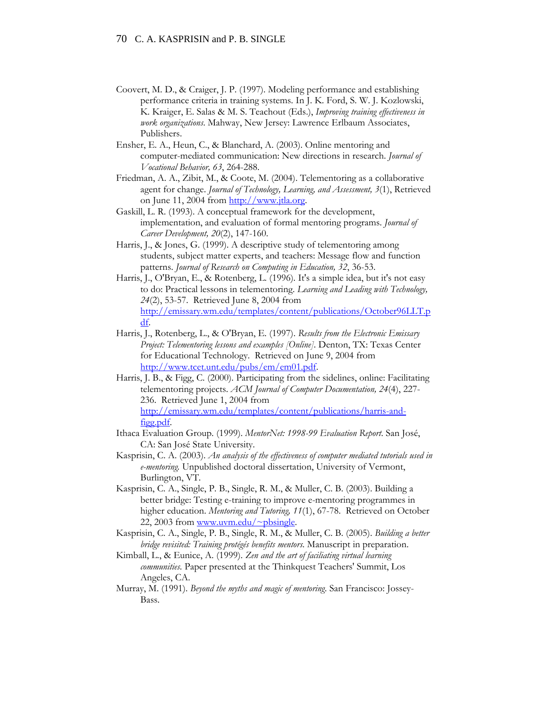- Coovert, M. D., & Craiger, J. P. (1997). Modeling performance and establishing performance criteria in training systems. In J. K. Ford, S. W. J. Kozlowski, K. Kraiger, E. Salas & M. S. Teachout (Eds.), *Improving training effectiveness in work organizations*. Mahway, New Jersey: Lawrence Erlbaum Associates, Publishers.
- Ensher, E. A., Heun, C., & Blanchard, A. (2003). Online mentoring and computer-mediated communication: New directions in research. *Journal of Vocational Behavior, 63*, 264-288.
- Friedman, A. A., Zibit, M., & Coote, M. (2004). Telementoring as a collaborative agent for change. *Journal of Technology, Learning, and Assessment, 3*(1), Retrieved on June 11, 2004 from [http://www.jtla.org](http://www.jtla.org/).
- Gaskill, L. R. (1993). A conceptual framework for the development, implementation, and evaluation of formal mentoring programs. *Journal of Career Development, 20*(2), 147-160.
- Harris, J., & Jones, G. (1999). A descriptive study of telementoring among students, subject matter experts, and teachers: Message flow and function patterns. *Journal of Research on Computing in Education, 32*, 36-53.
- Harris, J., O'Bryan, E., & Rotenberg, L. (1996). It's a simple idea, but it's not easy to do: Practical lessons in telementoring. *Learning and Leading with Technology, 24*(2), 53-57. Retrieved June 8, 2004 from [http://emissary.wm.edu/templates/content/publications/October96LLT.p](http://emissary.wm.edu/templates/content/publications/October96LLT.pdf) [df.](http://emissary.wm.edu/templates/content/publications/October96LLT.pdf)
- Harris, J., Rotenberg, L., & O'Bryan, E. (1997). *Results from the Electronic Emissary Project: Telementoring lessons and examples [Online].* Denton, TX: Texas Center for Educational Technology. Retrieved on June 9, 2004 from [http://www.tcet.unt.edu/pubs/em/em01.pdf.](http://www.tcet.unt.edu/pubs/em/em01.pdf)
- Harris, J. B., & Figg, C. (2000). Participating from the sidelines, online: Facilitating telementoring projects. *ACM Journal of Computer Documentation, 24*(4), 227- 236. Retrieved June 1, 2004 from [http://emissary.wm.edu/templates/content/publications/harris-and](http://emissary.wm.edu/templates/content/publications/harris-and-figg.pdf)[figg.pdf.](http://emissary.wm.edu/templates/content/publications/harris-and-figg.pdf)
- Ithaca Evaluation Group. (1999). *MentorNet: 1998-99 Evaluation Report*. San José, CA: San José State University.
- Kasprisin, C. A. (2003). *An analysis of the effectiveness of computer mediated tutorials used in e-mentoring.* Unpublished doctoral dissertation, University of Vermont, Burlington, VT.
- Kasprisin, C. A., Single, P. B., Single, R. M., & Muller, C. B. (2003). Building a better bridge: Testing e-training to improve e-mentoring programmes in higher education. *Mentoring and Tutoring, 11*(1), 67-78. Retrieved on October 22, 2003 from [www.uvm.edu/~pbsingle](http://www.uvm.edu/~pbsingle).
- Kasprisin, C. A., Single, P. B., Single, R. M., & Muller, C. B. (2005). *Building a better bridge revisited: Training protégés benefits mentors*. Manuscript in preparation.
- Kimball, L., & Eunice, A. (1999). *Zen and the art of faciliating virtual learning communities.* Paper presented at the Thinkquest Teachers' Summit, Los Angeles, CA.
- Murray, M. (1991). *Beyond the myths and magic of mentoring*. San Francisco: Jossey-Bass.